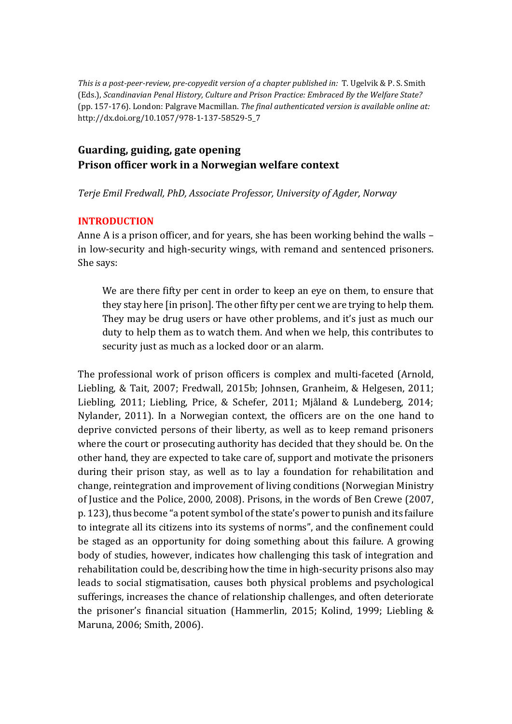*This is a post-peer-review, pre-copyedit version of a chapter published in:* T. Ugelvik & P. S. Smith (Eds.), *Scandinavian Penal History, Culture and Prison Practice: Embraced By the Welfare State?*  (pp. 157-176). London: Palgrave Macmillan. *The final authenticated version is available online at:*  http://dx.doi.org/10.1057/978-1-137-58529-5\_7

# **Guarding, guiding, gate opening Prison officer work in a Norwegian welfare context**

*Terje Emil Fredwall, PhD, Associate Professor, University of Agder, Norway*

## **INTRODUCTION**

Anne A is a prison officer, and for years, she has been working behind the walls – in low-security and high-security wings, with remand and sentenced prisoners. She says:

We are there fifty per cent in order to keep an eye on them, to ensure that they stay here [in prison]. The other fifty per cent we are trying to help them. They may be drug users or have other problems, and it's just as much our duty to help them as to watch them. And when we help, this contributes to security just as much as a locked door or an alarm.

The professional work of prison officers is complex and multi-faceted (Arnold, Liebling, & Tait, 2007; Fredwall, 2015b; Johnsen, Granheim, & Helgesen, 2011; Liebling, 2011; Liebling, Price, & Schefer, 2011; Mjåland & Lundeberg, 2014; Nylander, 2011). In a Norwegian context, the officers are on the one hand to deprive convicted persons of their liberty, as well as to keep remand prisoners where the court or prosecuting authority has decided that they should be. On the other hand, they are expected to take care of, support and motivate the prisoners during their prison stay, as well as to lay a foundation for rehabilitation and change, reintegration and improvement of living conditions (Norwegian Ministry of Justice and the Police, 2000, 2008). Prisons, in the words of Ben Crewe (2007, p. 123), thus become "a potent symbol of the state's power to punish and its failure to integrate all its citizens into its systems of norms", and the confinement could be staged as an opportunity for doing something about this failure. A growing body of studies, however, indicates how challenging this task of integration and rehabilitation could be, describing how the time in high-security prisons also may leads to social stigmatisation, causes both physical problems and psychological sufferings, increases the chance of relationship challenges, and often deteriorate the prisoner's financial situation (Hammerlin, 2015; Kolind, 1999; Liebling & Maruna, 2006; Smith, 2006).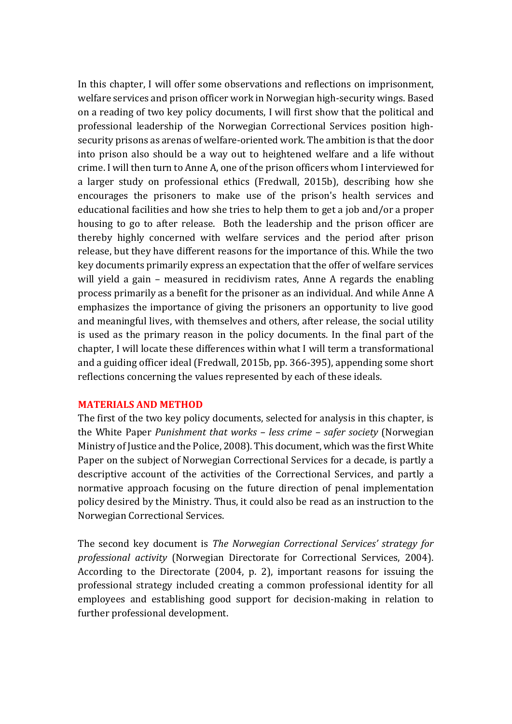In this chapter, I will offer some observations and reflections on imprisonment, welfare services and prison officer work in Norwegian high-security wings. Based on a reading of two key policy documents, I will first show that the political and professional leadership of the Norwegian Correctional Services position highsecurity prisons as arenas of welfare-oriented work. The ambition is that the door into prison also should be a way out to heightened welfare and a life without crime. I will then turn to Anne A, one of the prison officers whom I interviewed for a larger study on professional ethics (Fredwall, 2015b), describing how she encourages the prisoners to make use of the prison's health services and educational facilities and how she tries to help them to get a job and/or a proper housing to go to after release. Both the leadership and the prison officer are thereby highly concerned with welfare services and the period after prison release, but they have different reasons for the importance of this. While the two key documents primarily express an expectation that the offer of welfare services will yield a gain – measured in recidivism rates, Anne A regards the enabling process primarily as a benefit for the prisoner as an individual. And while Anne A emphasizes the importance of giving the prisoners an opportunity to live good and meaningful lives, with themselves and others, after release, the social utility is used as the primary reason in the policy documents. In the final part of the chapter, I will locate these differences within what I will term a transformational and a guiding officer ideal (Fredwall, 2015b, pp. 366-395), appending some short reflections concerning the values represented by each of these ideals.

#### **MATERIALS AND METHOD**

The first of the two key policy documents, selected for analysis in this chapter, is the White Paper *Punishment that works – less crime – safer society* (Norwegian Ministry of Justice and the Police, 2008). This document, which was the first White Paper on the subject of Norwegian Correctional Services for a decade, is partly a descriptive account of the activities of the Correctional Services, and partly a normative approach focusing on the future direction of penal implementation policy desired by the Ministry. Thus, it could also be read as an instruction to the Norwegian Correctional Services.

The second key document is *The Norwegian Correctional Services' strategy for professional activity* (Norwegian Directorate for Correctional Services, 2004). According to the Directorate (2004, p. 2), important reasons for issuing the professional strategy included creating a common professional identity for all employees and establishing good support for decision-making in relation to further professional development.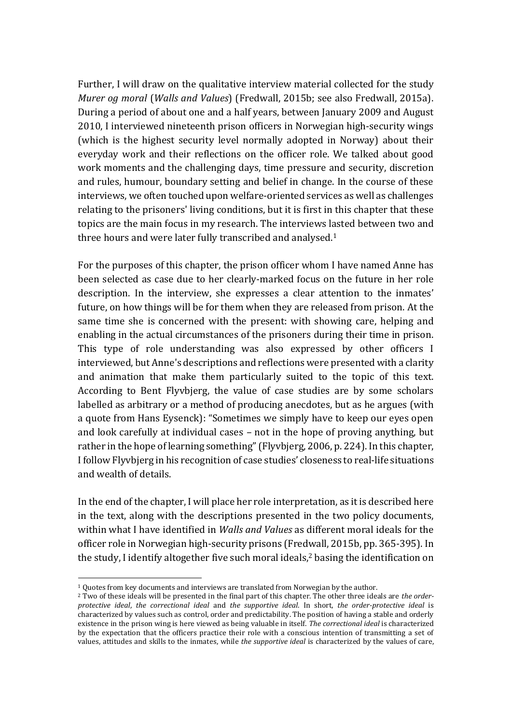Further, I will draw on the qualitative interview material collected for the study *Murer og moral* (*Walls and Values*) (Fredwall, 2015b; see also Fredwall, 2015a). During a period of about one and a half years, between January 2009 and August 2010, I interviewed nineteenth prison officers in Norwegian high-security wings (which is the highest security level normally adopted in Norway) about their everyday work and their reflections on the officer role. We talked about good work moments and the challenging days, time pressure and security, discretion and rules, humour, boundary setting and belief in change. In the course of these interviews, we often touched upon welfare-oriented services as well as challenges relating to the prisoners' living conditions, but it is first in this chapter that these topics are the main focus in my research. The interviews lasted between two and three hours and were later fully transcribed and analysed.<sup>1</sup>

For the purposes of this chapter, the prison officer whom I have named Anne has been selected as case due to her clearly-marked focus on the future in her role description. In the interview, she expresses a clear attention to the inmates' future, on how things will be for them when they are released from prison. At the same time she is concerned with the present: with showing care, helping and enabling in the actual circumstances of the prisoners during their time in prison. This type of role understanding was also expressed by other officers I interviewed, but Anne's descriptions and reflections were presented with a clarity and animation that make them particularly suited to the topic of this text. According to Bent Flyvbjerg, the value of case studies are by some scholars labelled as arbitrary or a method of producing anecdotes, but as he argues (with a quote from Hans Eysenck): "Sometimes we simply have to keep our eyes open and look carefully at individual cases – not in the hope of proving anything, but rather in the hope of learning something" (Flyvbjerg, 2006, p. 224). In this chapter, I follow Flyvbjerg in his recognition of case studies' closeness to real-life situations and wealth of details.

In the end of the chapter, I will place her role interpretation, as it is described here in the text, along with the descriptions presented in the two policy documents, within what I have identified in *Walls and Values* as different moral ideals for the officer role in Norwegian high-security prisons (Fredwall, 2015b, pp. 365-395). In the study, I identify altogether five such moral ideals,<sup>2</sup> basing the identification on

**<sup>.</sup>** <sup>1</sup> Quotes from key documents and interviews are translated from Norwegian by the author.

<sup>2</sup> Two of these ideals will be presented in the final part of this chapter. The other three ideals are *the orderprotective ideal*, *the correctional ideal* and *the supportive ideal*. In short, *the order-protective ideal* is characterized by values such as control, order and predictability. The position of having a stable and orderly existence in the prison wing is here viewed as being valuable in itself. *The correctional ideal* is characterized by the expectation that the officers practice their role with a conscious intention of transmitting a set of values, attitudes and skills to the inmates, while *the supportive ideal* is characterized by the values of care,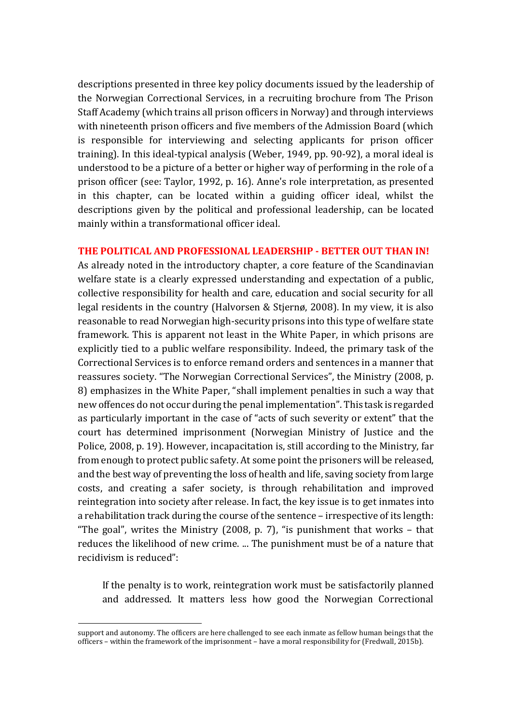descriptions presented in three key policy documents issued by the leadership of the Norwegian Correctional Services, in a recruiting brochure from The Prison Staff Academy (which trains all prison officers in Norway) and through interviews with nineteenth prison officers and five members of the Admission Board (which is responsible for interviewing and selecting applicants for prison officer training). In this ideal-typical analysis (Weber, 1949, pp. 90-92), a moral ideal is understood to be a picture of a better or higher way of performing in the role of a prison officer (see: Taylor, 1992, p. 16). Anne's role interpretation, as presented in this chapter, can be located within a guiding officer ideal, whilst the descriptions given by the political and professional leadership, can be located mainly within a transformational officer ideal.

### **THE POLITICAL AND PROFESSIONAL LEADERSHIP - BETTER OUT THAN IN!**

As already noted in the introductory chapter, a core feature of the Scandinavian welfare state is a clearly expressed understanding and expectation of a public, collective responsibility for health and care, education and social security for all legal residents in the country (Halvorsen & Stjernø, 2008). In my view, it is also reasonable to read Norwegian high-security prisons into this type of welfare state framework. This is apparent not least in the White Paper, in which prisons are explicitly tied to a public welfare responsibility. Indeed, the primary task of the Correctional Services is to enforce remand orders and sentences in a manner that reassures society. "The Norwegian Correctional Services", the Ministry (2008, p. 8) emphasizes in the White Paper, "shall implement penalties in such a way that new offences do not occur during the penal implementation". This task is regarded as particularly important in the case of "acts of such severity or extent" that the court has determined imprisonment (Norwegian Ministry of Justice and the Police, 2008, p. 19). However, incapacitation is, still according to the Ministry, far from enough to protect public safety. At some point the prisoners will be released, and the best way of preventing the loss of health and life, saving society from large costs, and creating a safer society, is through rehabilitation and improved reintegration into society after release. In fact, the key issue is to get inmates into a rehabilitation track during the course of the sentence – irrespective of its length: "The goal", writes the Ministry (2008, p. 7), "is punishment that works – that reduces the likelihood of new crime. ... The punishment must be of a nature that recidivism is reduced":

If the penalty is to work, reintegration work must be satisfactorily planned and addressed. It matters less how good the Norwegian Correctional

 $\overline{a}$ 

support and autonomy. The officers are here challenged to see each inmate as fellow human beings that the officers – within the framework of the imprisonment – have a moral responsibility for (Fredwall, 2015b).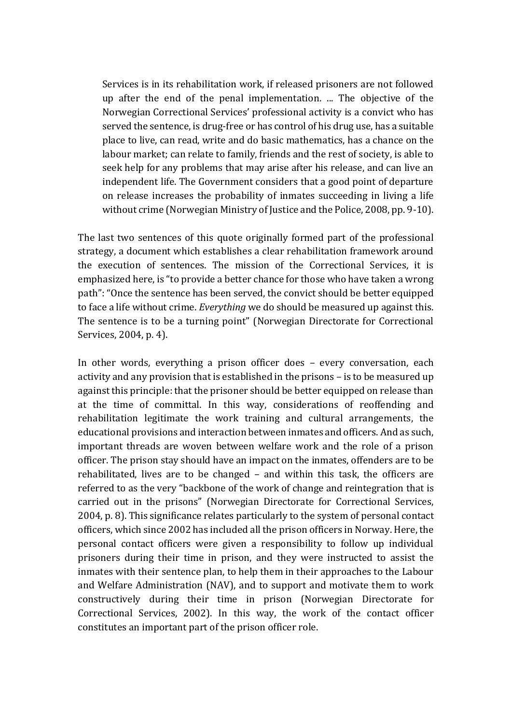Services is in its rehabilitation work, if released prisoners are not followed up after the end of the penal implementation. ... The objective of the Norwegian Correctional Services' professional activity is a convict who has served the sentence, is drug-free or has control of his drug use, has a suitable place to live, can read, write and do basic mathematics, has a chance on the labour market; can relate to family, friends and the rest of society, is able to seek help for any problems that may arise after his release, and can live an independent life. The Government considers that a good point of departure on release increases the probability of inmates succeeding in living a life without crime (Norwegian Ministry of Justice and the Police, 2008, pp. 9-10).

The last two sentences of this quote originally formed part of the professional strategy, a document which establishes a clear rehabilitation framework around the execution of sentences. The mission of the Correctional Services, it is emphasized here, is "to provide a better chance for those who have taken a wrong path": "Once the sentence has been served, the convict should be better equipped to face a life without crime. *Everything* we do should be measured up against this. The sentence is to be a turning point" (Norwegian Directorate for Correctional Services, 2004, p. 4).

In other words, everything a prison officer does – every conversation, each activity and any provision that is established in the prisons – is to be measured up against this principle: that the prisoner should be better equipped on release than at the time of committal. In this way, considerations of reoffending and rehabilitation legitimate the work training and cultural arrangements, the educational provisions and interaction between inmates and officers. And as such, important threads are woven between welfare work and the role of a prison officer. The prison stay should have an impact on the inmates, offenders are to be rehabilitated, lives are to be changed – and within this task, the officers are referred to as the very "backbone of the work of change and reintegration that is carried out in the prisons" (Norwegian Directorate for Correctional Services, 2004, p. 8). This significance relates particularly to the system of personal contact officers, which since 2002 has included all the prison officers in Norway. Here, the personal contact officers were given a responsibility to follow up individual prisoners during their time in prison, and they were instructed to assist the inmates with their sentence plan, to help them in their approaches to the Labour and Welfare Administration (NAV), and to support and motivate them to work constructively during their time in prison (Norwegian Directorate for Correctional Services, 2002). In this way, the work of the contact officer constitutes an important part of the prison officer role.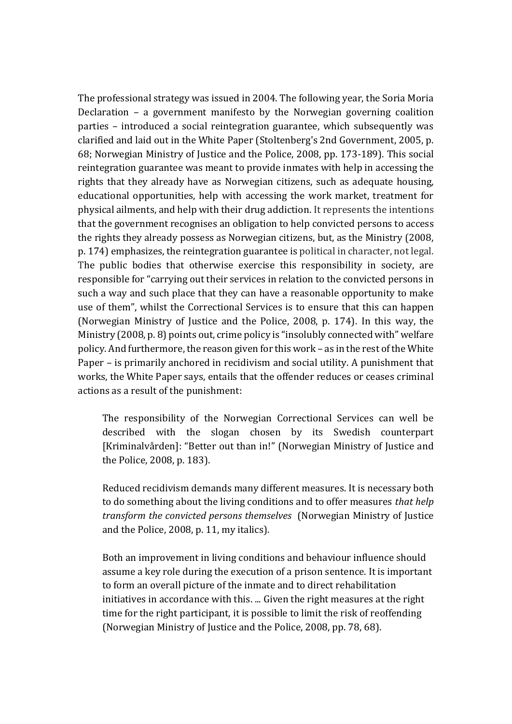The professional strategy was issued in 2004. The following year, the Soria Moria Declaration – a government manifesto by the Norwegian governing coalition parties – introduced a social reintegration guarantee, which subsequently was clarified and laid out in the White Paper (Stoltenberg's 2nd Government, 2005, p. 68; Norwegian Ministry of Justice and the Police, 2008, pp. 173-189). This social reintegration guarantee was meant to provide inmates with help in accessing the rights that they already have as Norwegian citizens, such as adequate housing, educational opportunities, help with accessing the work market, treatment for physical ailments, and help with their drug addiction. It represents the intentions that the government recognises an obligation to help convicted persons to access the rights they already possess as Norwegian citizens, but, as the Ministry (2008, p. 174) emphasizes, the reintegration guarantee is political in character, not legal. The public bodies that otherwise exercise this responsibility in society, are responsible for "carrying out their services in relation to the convicted persons in such a way and such place that they can have a reasonable opportunity to make use of them", whilst the Correctional Services is to ensure that this can happen (Norwegian Ministry of Justice and the Police, 2008, p. 174). In this way, the Ministry (2008, p. 8) points out, crime policy is "insolubly connected with" welfare policy. And furthermore, the reason given for this work – as in the rest of the White Paper – is primarily anchored in recidivism and social utility. A punishment that works, the White Paper says, entails that the offender reduces or ceases criminal actions as a result of the punishment:

The responsibility of the Norwegian Correctional Services can well be described with the slogan chosen by its Swedish counterpart [Kriminalvården]: "Better out than in!" (Norwegian Ministry of Justice and the Police, 2008, p. 183).

Reduced recidivism demands many different measures. It is necessary both to do something about the living conditions and to offer measures *that help transform the convicted persons themselves* (Norwegian Ministry of Justice and the Police, 2008, p. 11, my italics).

Both an improvement in living conditions and behaviour influence should assume a key role during the execution of a prison sentence. It is important to form an overall picture of the inmate and to direct rehabilitation initiatives in accordance with this. ... Given the right measures at the right time for the right participant, it is possible to limit the risk of reoffending (Norwegian Ministry of Justice and the Police, 2008, pp. 78, 68).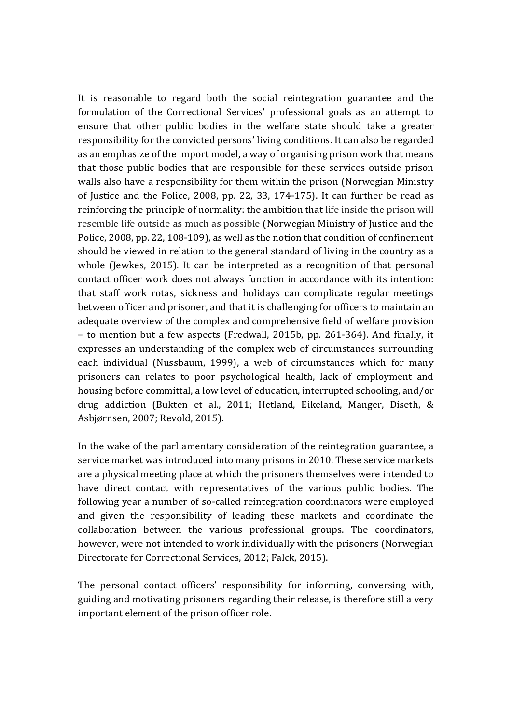It is reasonable to regard both the social reintegration guarantee and the formulation of the Correctional Services' professional goals as an attempt to ensure that other public bodies in the welfare state should take a greater responsibility for the convicted persons' living conditions. It can also be regarded as an emphasize of the import model, a way of organising prison work that means that those public bodies that are responsible for these services outside prison walls also have a responsibility for them within the prison (Norwegian Ministry of Justice and the Police, 2008, pp. 22, 33, 174-175). It can further be read as reinforcing the principle of normality: the ambition that life inside the prison will resemble life outside as much as possible (Norwegian Ministry of Justice and the Police, 2008, pp. 22, 108-109), as well as the notion that condition of confinement should be viewed in relation to the general standard of living in the country as a whole (Jewkes, 2015). It can be interpreted as a recognition of that personal contact officer work does not always function in accordance with its intention: that staff work rotas, sickness and holidays can complicate regular meetings between officer and prisoner, and that it is challenging for officers to maintain an adequate overview of the complex and comprehensive field of welfare provision – to mention but a few aspects (Fredwall, 2015b, pp. 261-364). And finally, it expresses an understanding of the complex web of circumstances surrounding each individual (Nussbaum, 1999), a web of circumstances which for many prisoners can relates to poor psychological health, lack of employment and housing before committal, a low level of education, interrupted schooling, and/or drug addiction (Bukten et al., 2011; Hetland, Eikeland, Manger, Diseth, & Asbjørnsen, 2007; Revold, 2015).

In the wake of the parliamentary consideration of the reintegration guarantee, a service market was introduced into many prisons in 2010. These service markets are a physical meeting place at which the prisoners themselves were intended to have direct contact with representatives of the various public bodies. The following year a number of so-called reintegration coordinators were employed and given the responsibility of leading these markets and coordinate the collaboration between the various professional groups. The coordinators, however, were not intended to work individually with the prisoners (Norwegian Directorate for Correctional Services, 2012; Falck, 2015).

The personal contact officers' responsibility for informing, conversing with, guiding and motivating prisoners regarding their release, is therefore still a very important element of the prison officer role.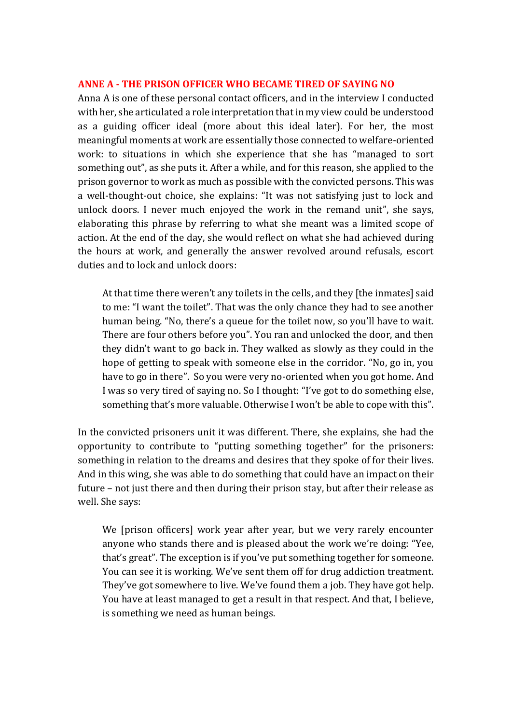#### **ANNE A - THE PRISON OFFICER WHO BECAME TIRED OF SAYING NO**

Anna A is one of these personal contact officers, and in the interview I conducted with her, she articulated a role interpretation that in my view could be understood as a guiding officer ideal (more about this ideal later). For her, the most meaningful moments at work are essentially those connected to welfare-oriented work: to situations in which she experience that she has "managed to sort something out", as she puts it. After a while, and for this reason, she applied to the prison governor to work as much as possible with the convicted persons. This was a well-thought-out choice, she explains: "It was not satisfying just to lock and unlock doors. I never much enjoyed the work in the remand unit", she says, elaborating this phrase by referring to what she meant was a limited scope of action. At the end of the day, she would reflect on what she had achieved during the hours at work, and generally the answer revolved around refusals, escort duties and to lock and unlock doors:

At that time there weren't any toilets in the cells, and they [the inmates] said to me: "I want the toilet". That was the only chance they had to see another human being. "No, there's a queue for the toilet now, so you'll have to wait. There are four others before you". You ran and unlocked the door, and then they didn't want to go back in. They walked as slowly as they could in the hope of getting to speak with someone else in the corridor. "No, go in, you have to go in there". So you were very no-oriented when you got home. And I was so very tired of saying no. So I thought: "I've got to do something else, something that's more valuable. Otherwise I won't be able to cope with this".

In the convicted prisoners unit it was different. There, she explains, she had the opportunity to contribute to "putting something together" for the prisoners: something in relation to the dreams and desires that they spoke of for their lives. And in this wing, she was able to do something that could have an impact on their future – not just there and then during their prison stay, but after their release as well. She says:

We [prison officers] work year after year, but we very rarely encounter anyone who stands there and is pleased about the work we're doing: "Yee, that's great". The exception is if you've put something together for someone. You can see it is working. We've sent them off for drug addiction treatment. They've got somewhere to live. We've found them a job. They have got help. You have at least managed to get a result in that respect. And that, I believe, is something we need as human beings.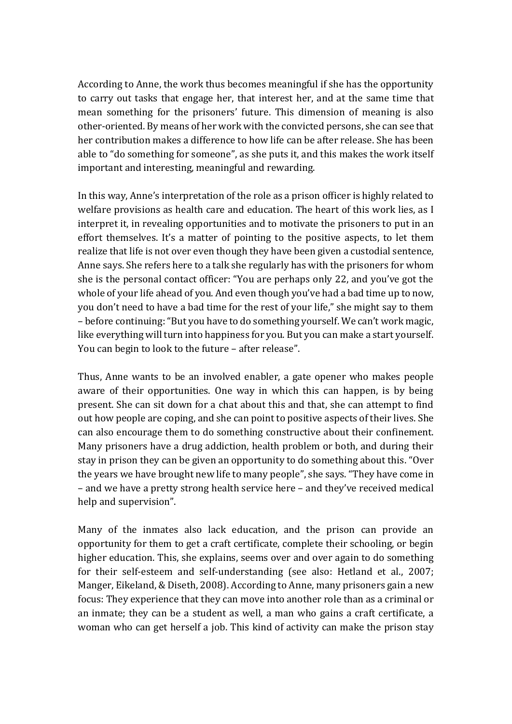According to Anne, the work thus becomes meaningful if she has the opportunity to carry out tasks that engage her, that interest her, and at the same time that mean something for the prisoners' future. This dimension of meaning is also other-oriented. By means of her work with the convicted persons, she can see that her contribution makes a difference to how life can be after release. She has been able to "do something for someone", as she puts it, and this makes the work itself important and interesting, meaningful and rewarding.

In this way, Anne's interpretation of the role as a prison officer is highly related to welfare provisions as health care and education. The heart of this work lies, as I interpret it, in revealing opportunities and to motivate the prisoners to put in an effort themselves. It's a matter of pointing to the positive aspects, to let them realize that life is not over even though they have been given a custodial sentence, Anne says. She refers here to a talk she regularly has with the prisoners for whom she is the personal contact officer: "You are perhaps only 22, and you've got the whole of your life ahead of you. And even though you've had a bad time up to now, you don't need to have a bad time for the rest of your life," she might say to them – before continuing: "But you have to do something yourself. We can't work magic, like everything will turn into happiness for you. But you can make a start yourself. You can begin to look to the future – after release".

Thus, Anne wants to be an involved enabler, a gate opener who makes people aware of their opportunities. One way in which this can happen, is by being present. She can sit down for a chat about this and that, she can attempt to find out how people are coping, and she can point to positive aspects of their lives. She can also encourage them to do something constructive about their confinement. Many prisoners have a drug addiction, health problem or both, and during their stay in prison they can be given an opportunity to do something about this. "Over the years we have brought new life to many people", she says. "They have come in – and we have a pretty strong health service here – and they've received medical help and supervision".

Many of the inmates also lack education, and the prison can provide an opportunity for them to get a craft certificate, complete their schooling, or begin higher education. This, she explains, seems over and over again to do something for their self-esteem and self-understanding (see also: Hetland et al., 2007; Manger, Eikeland, & Diseth, 2008). According to Anne, many prisoners gain a new focus: They experience that they can move into another role than as a criminal or an inmate; they can be a student as well, a man who gains a craft certificate, a woman who can get herself a job. This kind of activity can make the prison stay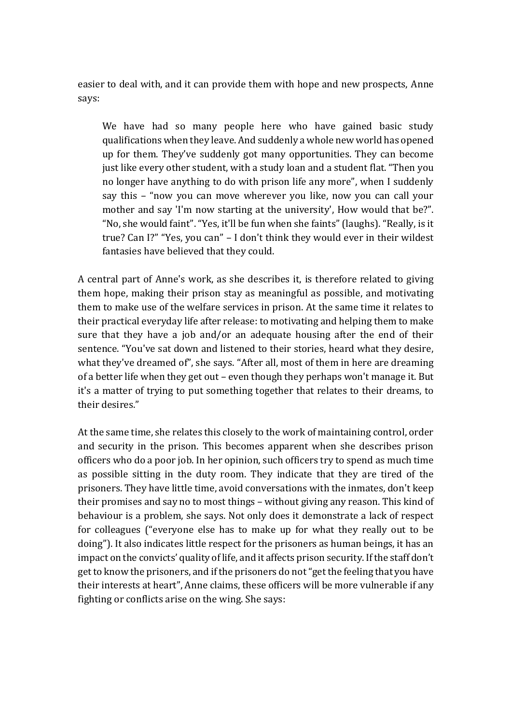easier to deal with, and it can provide them with hope and new prospects, Anne says:

We have had so many people here who have gained basic study qualifications when they leave. And suddenly a whole new world has opened up for them. They've suddenly got many opportunities. They can become just like every other student, with a study loan and a student flat. "Then you no longer have anything to do with prison life any more", when I suddenly say this – "now you can move wherever you like, now you can call your mother and say 'I'm now starting at the university', How would that be?". "No, she would faint". "Yes, it'll be fun when she faints" (laughs). "Really, is it true? Can I?" "Yes, you can" – I don't think they would ever in their wildest fantasies have believed that they could.

A central part of Anne's work, as she describes it, is therefore related to giving them hope, making their prison stay as meaningful as possible, and motivating them to make use of the welfare services in prison. At the same time it relates to their practical everyday life after release: to motivating and helping them to make sure that they have a job and/or an adequate housing after the end of their sentence. "You've sat down and listened to their stories, heard what they desire, what they've dreamed of", she says. "After all, most of them in here are dreaming of a better life when they get out – even though they perhaps won't manage it. But it's a matter of trying to put something together that relates to their dreams, to their desires."

At the same time, she relates this closely to the work of maintaining control, order and security in the prison. This becomes apparent when she describes prison officers who do a poor job. In her opinion, such officers try to spend as much time as possible sitting in the duty room. They indicate that they are tired of the prisoners. They have little time, avoid conversations with the inmates, don't keep their promises and say no to most things – without giving any reason. This kind of behaviour is a problem, she says. Not only does it demonstrate a lack of respect for colleagues ("everyone else has to make up for what they really out to be doing"). It also indicates little respect for the prisoners as human beings, it has an impact on the convicts' quality of life, and it affects prison security. If the staff don't get to know the prisoners, and if the prisoners do not "get the feeling that you have their interests at heart", Anne claims, these officers will be more vulnerable if any fighting or conflicts arise on the wing. She says: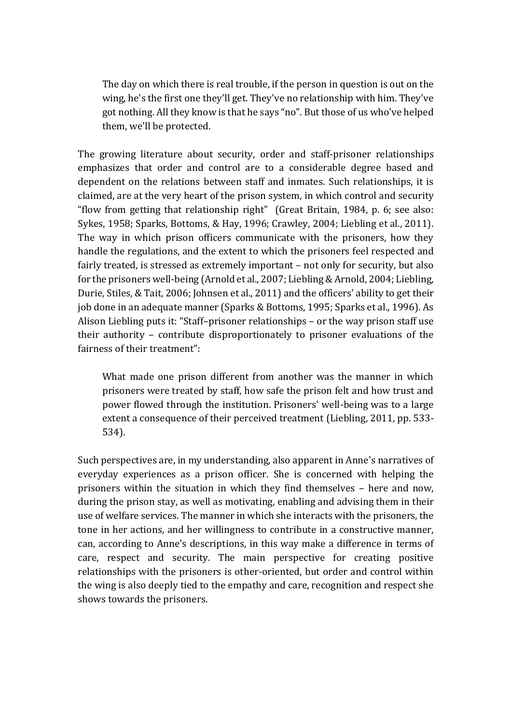The day on which there is real trouble, if the person in question is out on the wing, he's the first one they'll get. They've no relationship with him. They've got nothing. All they know is that he says "no". But those of us who've helped them, we'll be protected.

The growing literature about security, order and staff-prisoner relationships emphasizes that order and control are to a considerable degree based and dependent on the relations between staff and inmates. Such relationships, it is claimed, are at the very heart of the prison system, in which control and security "flow from getting that relationship right" (Great Britain, 1984, p. 6; see also: Sykes, 1958; Sparks, Bottoms, & Hay, 1996; Crawley, 2004; Liebling et al., 2011). The way in which prison officers communicate with the prisoners, how they handle the regulations, and the extent to which the prisoners feel respected and fairly treated, is stressed as extremely important – not only for security, but also for the prisoners well-being (Arnold et al., 2007; Liebling & Arnold, 2004; Liebling, Durie, Stiles, & Tait, 2006; Johnsen et al., 2011) and the officers' ability to get their job done in an adequate manner (Sparks & Bottoms, 1995; Sparks et al., 1996). As Alison Liebling puts it: "Staff–prisoner relationships – or the way prison staff use their authority – contribute disproportionately to prisoner evaluations of the fairness of their treatment":

What made one prison different from another was the manner in which prisoners were treated by staff, how safe the prison felt and how trust and power flowed through the institution. Prisoners' well-being was to a large extent a consequence of their perceived treatment (Liebling, 2011, pp. 533- 534).

Such perspectives are, in my understanding, also apparent in Anne's narratives of everyday experiences as a prison officer. She is concerned with helping the prisoners within the situation in which they find themselves – here and now, during the prison stay, as well as motivating, enabling and advising them in their use of welfare services. The manner in which she interacts with the prisoners, the tone in her actions, and her willingness to contribute in a constructive manner, can, according to Anne's descriptions, in this way make a difference in terms of care, respect and security. The main perspective for creating positive relationships with the prisoners is other-oriented, but order and control within the wing is also deeply tied to the empathy and care, recognition and respect she shows towards the prisoners.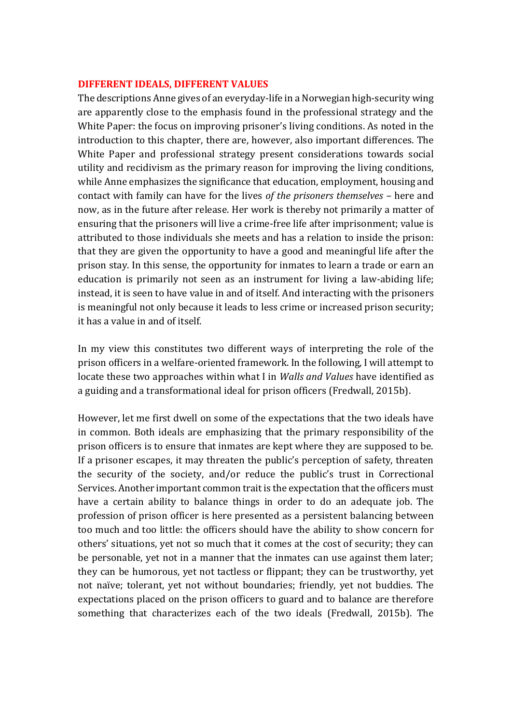#### **DIFFERENT IDEALS, DIFFERENT VALUES**

The descriptions Anne gives of an everyday-life in a Norwegian high-security wing are apparently close to the emphasis found in the professional strategy and the White Paper: the focus on improving prisoner's living conditions. As noted in the introduction to this chapter, there are, however, also important differences. The White Paper and professional strategy present considerations towards social utility and recidivism as the primary reason for improving the living conditions, while Anne emphasizes the significance that education, employment, housing and contact with family can have for the lives *of the prisoners themselves –* here and now, as in the future after release. Her work is thereby not primarily a matter of ensuring that the prisoners will live a crime-free life after imprisonment; value is attributed to those individuals she meets and has a relation to inside the prison: that they are given the opportunity to have a good and meaningful life after the prison stay. In this sense, the opportunity for inmates to learn a trade or earn an education is primarily not seen as an instrument for living a law-abiding life; instead, it is seen to have value in and of itself. And interacting with the prisoners is meaningful not only because it leads to less crime or increased prison security; it has a value in and of itself.

In my view this constitutes two different ways of interpreting the role of the prison officers in a welfare-oriented framework. In the following, I will attempt to locate these two approaches within what I in *Walls and Values* have identified as a guiding and a transformational ideal for prison officers (Fredwall, 2015b).

However, let me first dwell on some of the expectations that the two ideals have in common. Both ideals are emphasizing that the primary responsibility of the prison officers is to ensure that inmates are kept where they are supposed to be. If a prisoner escapes, it may threaten the public's perception of safety, threaten the security of the society, and/or reduce the public's trust in Correctional Services. Another important common trait is the expectation that the officers must have a certain ability to balance things in order to do an adequate job. The profession of prison officer is here presented as a persistent balancing between too much and too little: the officers should have the ability to show concern for others' situations, yet not so much that it comes at the cost of security; they can be personable, yet not in a manner that the inmates can use against them later; they can be humorous, yet not tactless or flippant; they can be trustworthy, yet not naïve; tolerant, yet not without boundaries; friendly, yet not buddies. The expectations placed on the prison officers to guard and to balance are therefore something that characterizes each of the two ideals (Fredwall, 2015b). The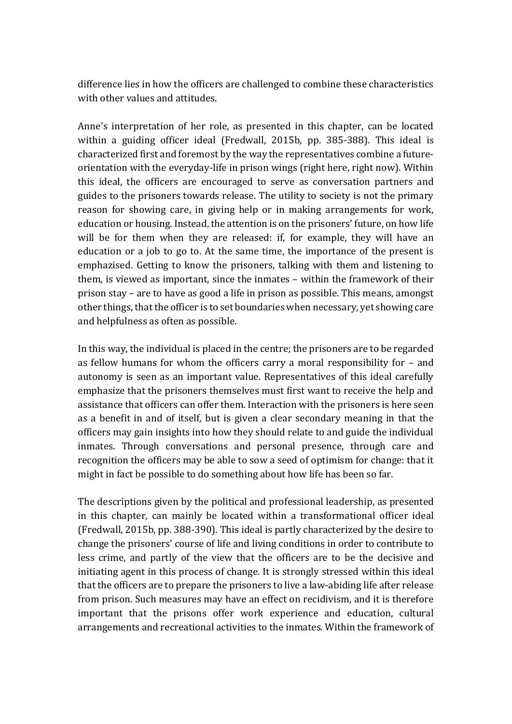difference lies in how the officers are challenged to combine these characteristics with other values and attitudes.

Anne's interpretation of her role, as presented in this chapter, can be located within a guiding officer ideal (Fredwall, 2015b, pp. 385-388). This ideal is characterized first and foremost by the way the representatives combine a futureorientation with the everyday-life in prison wings (right here, right now). Within this ideal, the officers are encouraged to serve as conversation partners and guides to the prisoners towards release. The utility to society is not the primary reason for showing care, in giving help or in making arrangements for work, education or housing. Instead, the attention is on the prisoners' future, on how life will be for them when they are released: if, for example, they will have an education or a job to go to. At the same time, the importance of the present is emphazised. Getting to know the prisoners, talking with them and listening to them, is viewed as important, since the inmates – within the framework of their prison stay – are to have as good a life in prison as possible. This means, amongst other things, that the officer is to set boundaries when necessary, yet showing care and helpfulness as often as possible.

In this way, the individual is placed in the centre; the prisoners are to be regarded as fellow humans for whom the officers carry a moral responsibility for – and autonomy is seen as an important value. Representatives of this ideal carefully emphasize that the prisoners themselves must first want to receive the help and assistance that officers can offer them. Interaction with the prisoners is here seen as a benefit in and of itself, but is given a clear secondary meaning in that the officers may gain insights into how they should relate to and guide the individual inmates. Through conversations and personal presence, through care and recognition the officers may be able to sow a seed of optimism for change: that it might in fact be possible to do something about how life has been so far.

The descriptions given by the political and professional leadership, as presented in this chapter, can mainly be located within a transformational officer ideal (Fredwall, 2015b, pp. 388-390). This ideal is partly characterized by the desire to change the prisoners' course of life and living conditions in order to contribute to less crime, and partly of the view that the officers are to be the decisive and initiating agent in this process of change. It is strongly stressed within this ideal that the officers are to prepare the prisoners to live a law-abiding life after release from prison. Such measures may have an effect on recidivism, and it is therefore important that the prisons offer work experience and education, cultural arrangements and recreational activities to the inmates. Within the framework of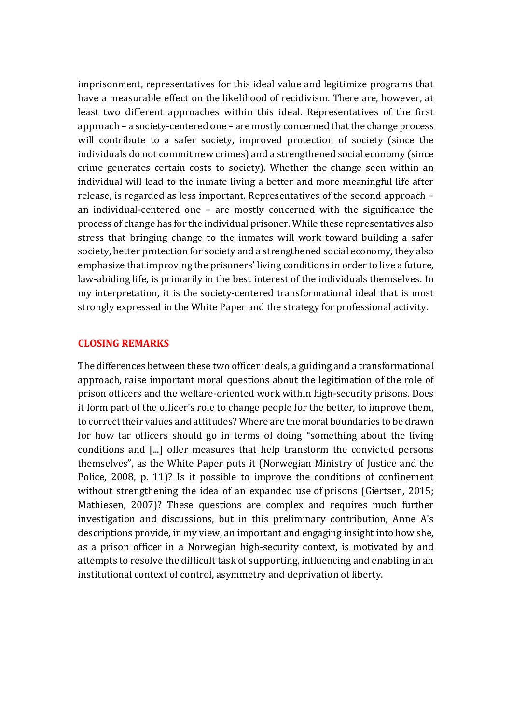imprisonment, representatives for this ideal value and legitimize programs that have a measurable effect on the likelihood of recidivism. There are, however, at least two different approaches within this ideal. Representatives of the first approach – a society-centered one – are mostly concerned that the change process will contribute to a safer society, improved protection of society (since the individuals do not commit new crimes) and a strengthened social economy (since crime generates certain costs to society). Whether the change seen within an individual will lead to the inmate living a better and more meaningful life after release, is regarded as less important. Representatives of the second approach – an individual-centered one – are mostly concerned with the significance the process of change has for the individual prisoner. While these representatives also stress that bringing change to the inmates will work toward building a safer society, better protection for society and a strengthened social economy, they also emphasize that improving the prisoners' living conditions in order to live a future, law-abiding life, is primarily in the best interest of the individuals themselves. In my interpretation, it is the society-centered transformational ideal that is most strongly expressed in the White Paper and the strategy for professional activity.

### **CLOSING REMARKS**

The differences between these two officer ideals, a guiding and a transformational approach, raise important moral questions about the legitimation of the role of prison officers and the welfare-oriented work within high-security prisons. Does it form part of the officer's role to change people for the better, to improve them, to correct their values and attitudes? Where are the moral boundaries to be drawn for how far officers should go in terms of doing "something about the living conditions and [...] offer measures that help transform the convicted persons themselves", as the White Paper puts it (Norwegian Ministry of Justice and the Police, 2008, p. 11)? Is it possible to improve the conditions of confinement without strengthening the idea of an expanded use of prisons (Giertsen, 2015; Mathiesen, 2007)? These questions are complex and requires much further investigation and discussions, but in this preliminary contribution, Anne A's descriptions provide, in my view, an important and engaging insight into how she, as a prison officer in a Norwegian high-security context, is motivated by and attempts to resolve the difficult task of supporting, influencing and enabling in an institutional context of control, asymmetry and deprivation of liberty.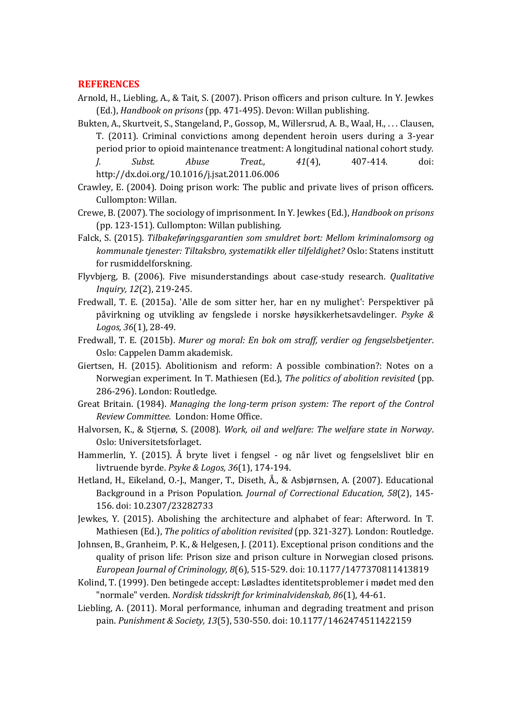#### **REFERENCES**

- Arnold, H., Liebling, A., & Tait, S. (2007). Prison officers and prison culture. In Y. Jewkes (Ed.), *Handbook on prisons* (pp. 471-495). Devon: Willan publishing.
- Bukten, A., Skurtveit, S., Stangeland, P., Gossop, M., Willersrud, A. B., Waal, H., . . . Clausen, T. (2011). Criminal convictions among dependent heroin users during a 3-year period prior to opioid maintenance treatment: A longitudinal national cohort study. *J. Subst. Abuse Treat., 41*(4), 407-414. doi: http://dx.doi.org/10.1016/j.jsat.2011.06.006
- Crawley, E. (2004). Doing prison work: The public and private lives of prison officers. Cullompton: Willan.
- Crewe, B. (2007). The sociology of imprisonment. In Y. Jewkes (Ed.), *Handbook on prisons* (pp. 123-151). Cullompton: Willan publishing.
- Falck, S. (2015). *Tilbakeføringsgarantien som smuldret bort: Mellom kriminalomsorg og kommunale tjenester: Tiltaksbro, systematikk eller tilfeldighet?* Oslo: Statens institutt for rusmiddelforskning.
- Flyvbjerg, B. (2006). Five misunderstandings about case-study research. *Qualitative Inquiry, 12*(2), 219-245.
- Fredwall, T. E. (2015a). 'Alle de som sitter her, har en ny mulighet': Perspektiver på påvirkning og utvikling av fengslede i norske høysikkerhetsavdelinger. *Psyke & Logos, 36*(1), 28-49.
- Fredwall, T. E. (2015b). *Murer og moral: En bok om straff, verdier og fengselsbetjenter*. Oslo: Cappelen Damm akademisk.
- Giertsen, H. (2015). Abolitionism and reform: A possible combination?: Notes on a Norwegian experiment. In T. Mathiesen (Ed.), *The politics of abolition revisited* (pp. 286-296). London: Routledge.
- Great Britain. (1984). *Managing the long-term prison system: The report of the Control Review Committee*. London: Home Office.
- Halvorsen, K., & Stjernø, S. (2008). *Work, oil and welfare: The welfare state in Norway*. Oslo: Universitetsforlaget.
- Hammerlin, Y. (2015). Å bryte livet i fengsel og når livet og fengselslivet blir en livtruende byrde. *Psyke & Logos, 36*(1), 174-194.
- Hetland, H., Eikeland, O.-J., Manger, T., Diseth, Å., & Asbjørnsen, A. (2007). Educational Background in a Prison Population. *Journal of Correctional Education, 58*(2), 145- 156. doi: 10.2307/23282733
- Jewkes, Y. (2015). Abolishing the architecture and alphabet of fear: Afterword. In T. Mathiesen (Ed.), *The politics of abolition revisited* (pp. 321-327). London: Routledge.
- Johnsen, B., Granheim, P. K., & Helgesen, J. (2011). Exceptional prison conditions and the quality of prison life: Prison size and prison culture in Norwegian closed prisons. *European Journal of Criminology, 8*(6), 515-529. doi: 10.1177/1477370811413819
- Kolind, T. (1999). Den betingede accept: Løsladtes identitetsproblemer i mødet med den "normale" verden. *Nordisk tidsskrift for kriminalvidenskab, 86*(1), 44-61.
- Liebling, A. (2011). Moral performance, inhuman and degrading treatment and prison pain. *Punishment & Society, 13*(5), 530-550. doi: 10.1177/1462474511422159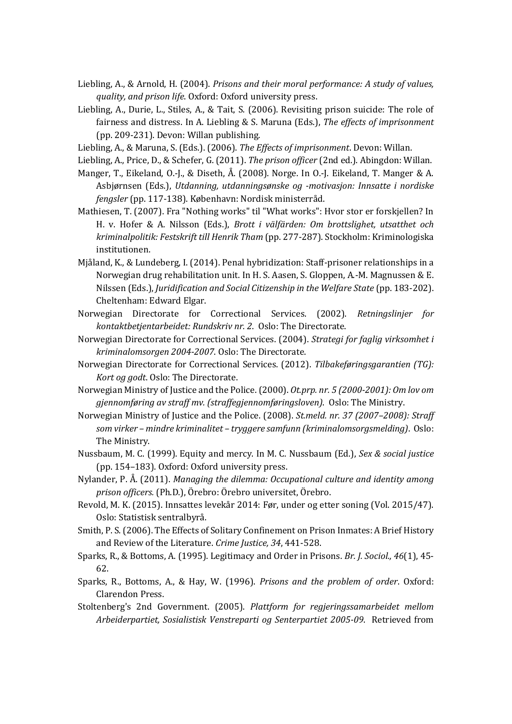- Liebling, A., & Arnold, H. (2004). *Prisons and their moral performance: A study of values, quality, and prison life*. Oxford: Oxford university press.
- Liebling, A., Durie, L., Stiles, A., & Tait, S. (2006). Revisiting prison suicide: The role of fairness and distress. In A. Liebling & S. Maruna (Eds.), *The effects of imprisonment* (pp. 209-231). Devon: Willan publishing.
- Liebling, A., & Maruna, S. (Eds.). (2006). *The Effects of imprisonment*. Devon: Willan.
- Liebling, A., Price, D., & Schefer, G. (2011). *The prison officer* (2nd ed.). Abingdon: Willan.
- Manger, T., Eikeland, O.-J., & Diseth, Å. (2008). Norge. In O.-J. Eikeland, T. Manger & A. Asbjørnsen (Eds.), *Utdanning, utdanningsønske og -motivasjon: Innsatte i nordiske fengsler* (pp. 117-138). København: Nordisk ministerråd.
- Mathiesen, T. (2007). Fra "Nothing works" til "What works": Hvor stor er forskjellen? In H. v. Hofer & A. Nilsson (Eds.), *Brott i välfärden: Om brottslighet, utsatthet och kriminalpolitik: Festskrift till Henrik Tham* (pp. 277-287). Stockholm: Kriminologiska institutionen.
- Mjåland, K., & Lundeberg, I. (2014). Penal hybridization: Staff-prisoner relationships in a Norwegian drug rehabilitation unit. In H. S. Aasen, S. Gloppen, A.-M. Magnussen & E. Nilssen (Eds.), *Juridification and Social Citizenship in the Welfare State* (pp. 183-202). Cheltenham: Edward Elgar.
- Norwegian Directorate for Correctional Services. (2002). *Retningslinjer for kontaktbetjentarbeidet: Rundskriv nr. 2*. Oslo: The Directorate.
- Norwegian Directorate for Correctional Services. (2004). *Strategi for faglig virksomhet i kriminalomsorgen 2004-2007*. Oslo: The Directorate.
- Norwegian Directorate for Correctional Services. (2012). *Tilbakeføringsgarantien (TG): Kort og godt*. Oslo: The Directorate.
- Norwegian Ministry of Justice and the Police. (2000). *Ot.prp. nr. 5 (2000-2001): Om lov om gjennomføring av straff mv. (straffegjennomføringsloven)*. Oslo: The Ministry.
- Norwegian Ministry of Justice and the Police. (2008). *St.meld. nr. 37 (2007–2008): Straff som virker – mindre kriminalitet – tryggere samfunn (kriminalomsorgsmelding)*. Oslo: The Ministry.
- Nussbaum, M. C. (1999). Equity and mercy. In M. C. Nussbaum (Ed.), *Sex & social justice* (pp. 154–183). Oxford: Oxford university press.
- Nylander, P. Å. (2011). *Managing the dilemma: Occupational culture and identity among prison officers.* (Ph.D.), Örebro: Örebro universitet, Örebro.
- Revold, M. K. (2015). Innsattes levekår 2014: Før, under og etter soning (Vol. 2015/47). Oslo: Statistisk sentralbyrå.
- Smith, P. S. (2006). The Effects of Solitary Confinement on Prison Inmates: A Brief History and Review of the Literature. *Crime Justice, 34*, 441-528.
- Sparks, R., & Bottoms, A. (1995). Legitimacy and Order in Prisons. *Br. J. Sociol., 46*(1), 45- 62.
- Sparks, R., Bottoms, A., & Hay, W. (1996). *Prisons and the problem of order*. Oxford: Clarendon Press.
- Stoltenberg's 2nd Government. (2005). *Plattform for regjeringssamarbeidet mellom Arbeiderpartiet, Sosialistisk Venstreparti og Senterpartiet 2005-09*. Retrieved from